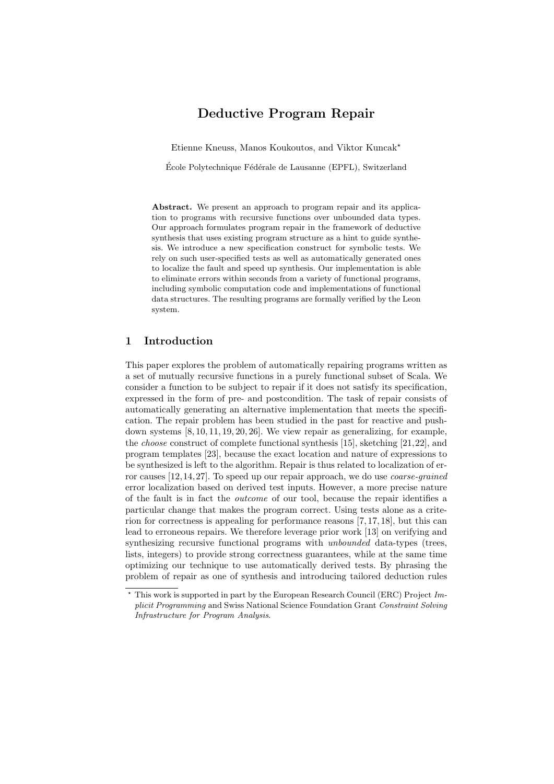# Deductive Program Repair

Etienne Kneuss, Manos Koukoutos, and Viktor Kuncak?

École Polytechnique Fédérale de Lausanne (EPFL), Switzerland

Abstract. We present an approach to program repair and its application to programs with recursive functions over unbounded data types. Our approach formulates program repair in the framework of deductive synthesis that uses existing program structure as a hint to guide synthesis. We introduce a new specification construct for symbolic tests. We rely on such user-specified tests as well as automatically generated ones to localize the fault and speed up synthesis. Our implementation is able to eliminate errors within seconds from a variety of functional programs, including symbolic computation code and implementations of functional data structures. The resulting programs are formally verified by the Leon system.

# 1 Introduction

This paper explores the problem of automatically repairing programs written as a set of mutually recursive functions in a purely functional subset of Scala. We consider a function to be subject to repair if it does not satisfy its specification, expressed in the form of pre- and postcondition. The task of repair consists of automatically generating an alternative implementation that meets the specification. The repair problem has been studied in the past for reactive and pushdown systems [\[8,](#page-15-0) [10,](#page-15-1) [11,](#page-15-2) [19,](#page-16-0) [20,](#page-16-1) [26\]](#page-16-2). We view repair as generalizing, for example, the choose construct of complete functional synthesis [\[15\]](#page-15-3), sketching [\[21,](#page-16-3)[22\]](#page-16-4), and program templates [\[23\]](#page-16-5), because the exact location and nature of expressions to be synthesized is left to the algorithm. Repair is thus related to localization of error causes [\[12,](#page-15-4)[14,](#page-15-5)[27\]](#page-16-6). To speed up our repair approach, we do use coarse-grained error localization based on derived test inputs. However, a more precise nature of the fault is in fact the outcome of our tool, because the repair identifies a particular change that makes the program correct. Using tests alone as a criterion for correctness is appealing for performance reasons [\[7,](#page-15-6) [17,](#page-15-7)[18\]](#page-15-8), but this can lead to erroneous repairs. We therefore leverage prior work [\[13\]](#page-15-9) on verifying and synthesizing recursive functional programs with *unbounded* data-types (trees, lists, integers) to provide strong correctness guarantees, while at the same time optimizing our technique to use automatically derived tests. By phrasing the problem of repair as one of synthesis and introducing tailored deduction rules

 $*$  This work is supported in part by the European Research Council (ERC) Project Implicit Programming and Swiss National Science Foundation Grant Constraint Solving Infrastructure for Program Analysis.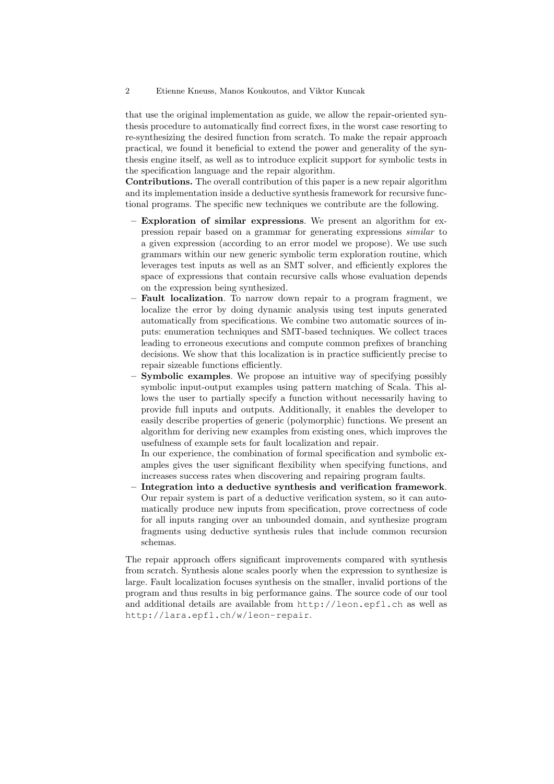that use the original implementation as guide, we allow the repair-oriented synthesis procedure to automatically find correct fixes, in the worst case resorting to re-synthesizing the desired function from scratch. To make the repair approach practical, we found it beneficial to extend the power and generality of the synthesis engine itself, as well as to introduce explicit support for symbolic tests in the specification language and the repair algorithm.

Contributions. The overall contribution of this paper is a new repair algorithm and its implementation inside a deductive synthesis framework for recursive functional programs. The specific new techniques we contribute are the following.

- Exploration of similar expressions. We present an algorithm for expression repair based on a grammar for generating expressions similar to a given expression (according to an error model we propose). We use such grammars within our new generic symbolic term exploration routine, which leverages test inputs as well as an SMT solver, and efficiently explores the space of expressions that contain recursive calls whose evaluation depends on the expression being synthesized.
- Fault localization. To narrow down repair to a program fragment, we localize the error by doing dynamic analysis using test inputs generated automatically from specifications. We combine two automatic sources of inputs: enumeration techniques and SMT-based techniques. We collect traces leading to erroneous executions and compute common prefixes of branching decisions. We show that this localization is in practice sufficiently precise to repair sizeable functions efficiently.
- Symbolic examples. We propose an intuitive way of specifying possibly symbolic input-output examples using pattern matching of Scala. This allows the user to partially specify a function without necessarily having to provide full inputs and outputs. Additionally, it enables the developer to easily describe properties of generic (polymorphic) functions. We present an algorithm for deriving new examples from existing ones, which improves the usefulness of example sets for fault localization and repair.

In our experience, the combination of formal specification and symbolic examples gives the user significant flexibility when specifying functions, and increases success rates when discovering and repairing program faults.

– Integration into a deductive synthesis and verification framework. Our repair system is part of a deductive verification system, so it can automatically produce new inputs from specification, prove correctness of code for all inputs ranging over an unbounded domain, and synthesize program fragments using deductive synthesis rules that include common recursion schemas.

The repair approach offers significant improvements compared with synthesis from scratch. Synthesis alone scales poorly when the expression to synthesize is large. Fault localization focuses synthesis on the smaller, invalid portions of the program and thus results in big performance gains. The source code of our tool and additional details are available from <http://leon.epfl.ch> as well as <http://lara.epfl.ch/w/leon-repair>.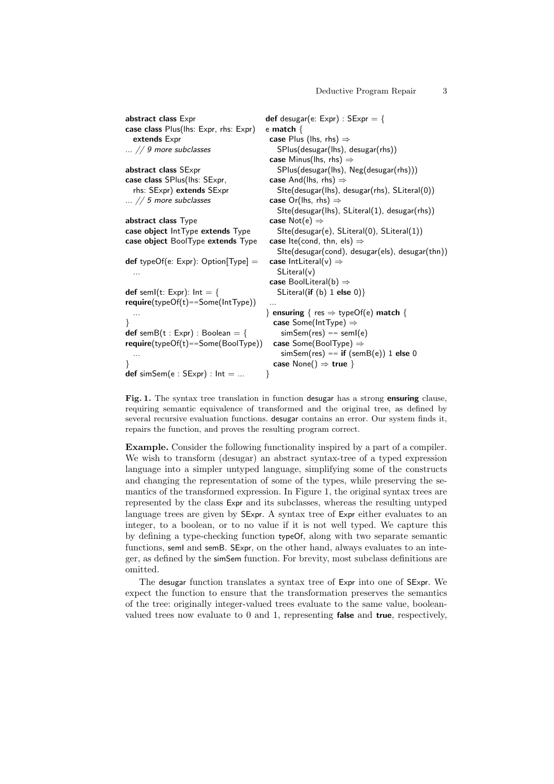| abstract class Expr                     | <b>def</b> desugar(e: Expr) : $SExpr = \{$                |  |  |  |  |
|-----------------------------------------|-----------------------------------------------------------|--|--|--|--|
| case class Plus(lhs: Expr, rhs: Expr)   | e match $\{$                                              |  |  |  |  |
| extends Expr                            | case Plus (lhs, rhs) $\Rightarrow$                        |  |  |  |  |
| $\ldots$ // 9 more subclasses           | SPlus(desugar(lhs), desugar(rhs))                         |  |  |  |  |
|                                         | case Minus(lhs, rhs) $\Rightarrow$                        |  |  |  |  |
| abstract class SExpr                    | SPlus(desugar(lhs), Neg(desugar(rhs)))                    |  |  |  |  |
| case class SPlus(lhs: SExpr,            | case And(lhs, rhs) $\Rightarrow$                          |  |  |  |  |
| rhs: SExpr) extends SExpr               | SIte(desugar(lhs), desugar(rhs), SLiteral(0))             |  |  |  |  |
| $\ldots$ // 5 more subclasses           | case Or(lhs, rhs) $\Rightarrow$                           |  |  |  |  |
|                                         | SIte(desugar(lhs), SLiteral(1), desugar(rhs))             |  |  |  |  |
| abstract class Type                     | case Not(e) $\Rightarrow$                                 |  |  |  |  |
| case object IntType extends Type        | SIte(desugar(e), SLiteral(0), SLiteral(1))                |  |  |  |  |
| case object BoolType extends Type       | case Ite(cond, thn, els) $\Rightarrow$                    |  |  |  |  |
|                                         | SIte(desugar(cond), desugar(els), desugar(thn))           |  |  |  |  |
| def typeOf(e: Expr): Option[Type] =     | case IntLiteral(v) $\Rightarrow$                          |  |  |  |  |
|                                         | SLiteral(v)                                               |  |  |  |  |
|                                         | case BoolLiteral(b) $\Rightarrow$                         |  |  |  |  |
| def seml(t: Expr): $Int = \{$           | SLiteral(if $(b)$ 1 else 0)}                              |  |  |  |  |
| $require(typeOf(t)=Some(intType))$      |                                                           |  |  |  |  |
|                                         | $\}$ ensuring $\{$ res $\Rightarrow$ typeOf(e) match $\{$ |  |  |  |  |
| ł                                       | case Some(IntType) $\Rightarrow$                          |  |  |  |  |
| <b>def</b> semB(t : Expr) : Boolean = { | $simSem(res) == seml(e)$                                  |  |  |  |  |
| $require(typeOf(t) == Some(BoolType))$  | case Some(BoolType) $\Rightarrow$                         |  |  |  |  |
|                                         | $simSem(res) == if (semB(e)) 1 else 0$                    |  |  |  |  |
| $\mathcal{F}$                           | case None() $\Rightarrow$ true }                          |  |  |  |  |
| def simSem(e : SExpr) : $Int = $        |                                                           |  |  |  |  |

<span id="page-2-0"></span>Fig. 1. The syntax tree translation in function desugar has a strong ensuring clause, requiring semantic equivalence of transformed and the original tree, as defined by several recursive evaluation functions. desugar contains an error. Our system finds it, repairs the function, and proves the resulting program correct.

Example. Consider the following functionality inspired by a part of a compiler. We wish to transform (desugar) an abstract syntax-tree of a typed expression language into a simpler untyped language, simplifying some of the constructs and changing the representation of some of the types, while preserving the semantics of the transformed expression. In Figure [1,](#page-2-0) the original syntax trees are represented by the class Expr and its subclasses, whereas the resulting untyped language trees are given by SExpr. A syntax tree of Expr either evaluates to an integer, to a boolean, or to no value if it is not well typed. We capture this by defining a type-checking function typeOf, along with two separate semantic functions, semI and semB. SExpr, on the other hand, always evaluates to an integer, as defined by the simSem function. For brevity, most subclass definitions are omitted.

The desugar function translates a syntax tree of Expr into one of SExpr. We expect the function to ensure that the transformation preserves the semantics of the tree: originally integer-valued trees evaluate to the same value, booleanvalued trees now evaluate to 0 and 1, representing false and true, respectively,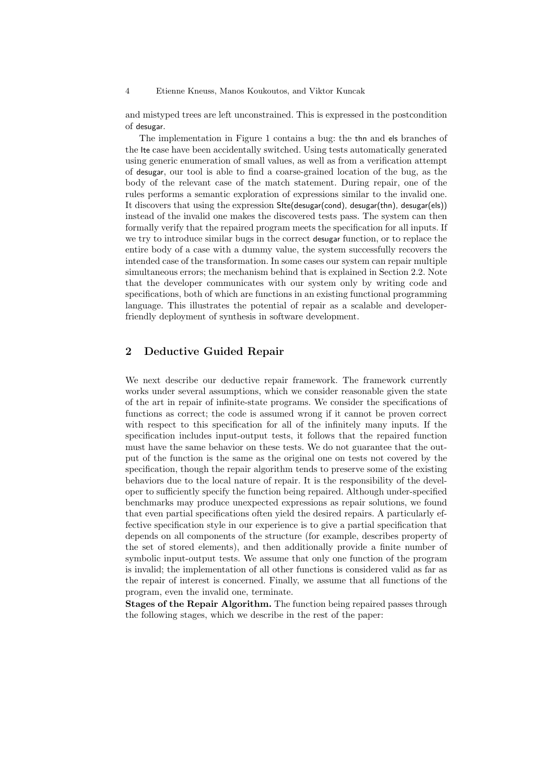and mistyped trees are left unconstrained. This is expressed in the postcondition of desugar.

The implementation in Figure [1](#page-2-0) contains a bug: the thn and els branches of the Ite case have been accidentally switched. Using tests automatically generated using generic enumeration of small values, as well as from a verification attempt of desugar, our tool is able to find a coarse-grained location of the bug, as the body of the relevant case of the match statement. During repair, one of the rules performs a semantic exploration of expressions similar to the invalid one. It discovers that using the expression SIte(desugar(cond), desugar(thn), desugar(els)) instead of the invalid one makes the discovered tests pass. The system can then formally verify that the repaired program meets the specification for all inputs. If we try to introduce similar bugs in the correct desugar function, or to replace the entire body of a case with a dummy value, the system successfully recovers the intended case of the transformation. In some cases our system can repair multiple simultaneous errors; the mechanism behind that is explained in Section [2.2.](#page-5-0) Note that the developer communicates with our system only by writing code and specifications, both of which are functions in an existing functional programming language. This illustrates the potential of repair as a scalable and developerfriendly deployment of synthesis in software development.

# <span id="page-3-0"></span>2 Deductive Guided Repair

We next describe our deductive repair framework. The framework currently works under several assumptions, which we consider reasonable given the state of the art in repair of infinite-state programs. We consider the specifications of functions as correct; the code is assumed wrong if it cannot be proven correct with respect to this specification for all of the infinitely many inputs. If the specification includes input-output tests, it follows that the repaired function must have the same behavior on these tests. We do not guarantee that the output of the function is the same as the original one on tests not covered by the specification, though the repair algorithm tends to preserve some of the existing behaviors due to the local nature of repair. It is the responsibility of the developer to sufficiently specify the function being repaired. Although under-specified benchmarks may produce unexpected expressions as repair solutions, we found that even partial specifications often yield the desired repairs. A particularly effective specification style in our experience is to give a partial specification that depends on all components of the structure (for example, describes property of the set of stored elements), and then additionally provide a finite number of symbolic input-output tests. We assume that only one function of the program is invalid; the implementation of all other functions is considered valid as far as the repair of interest is concerned. Finally, we assume that all functions of the program, even the invalid one, terminate.

Stages of the Repair Algorithm. The function being repaired passes through the following stages, which we describe in the rest of the paper: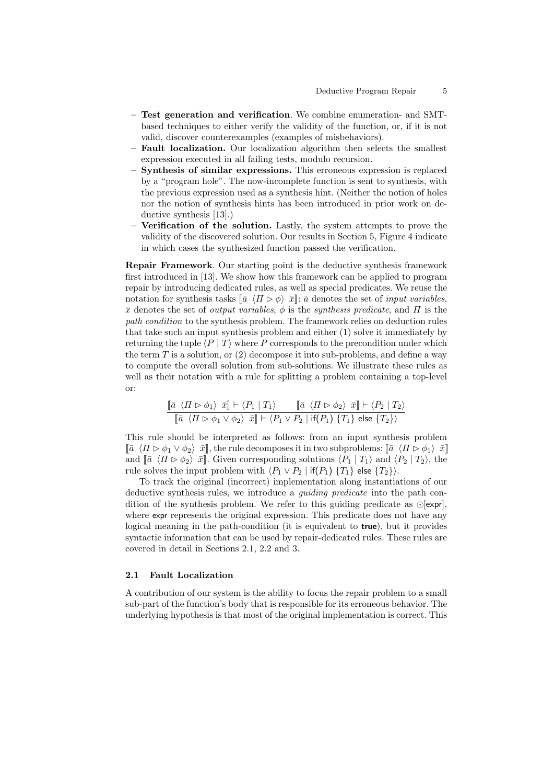- Test generation and verification. We combine enumeration- and SMTbased techniques to either verify the validity of the function, or, if it is not valid, discover counterexamples (examples of misbehaviors).
- Fault localization. Our localization algorithm then selects the smallest expression executed in all failing tests, modulo recursion.
- Synthesis of similar expressions. This erroneous expression is replaced by a "program hole". The now-incomplete function is sent to synthesis, with the previous expression used as a synthesis hint. (Neither the notion of holes nor the notion of synthesis hints has been introduced in prior work on deductive synthesis [\[13\]](#page-15-9).)
- Verification of the solution. Lastly, the system attempts to prove the validity of the discovered solution. Our results in Section [5,](#page-11-0) Figure [4](#page-12-0) indicate in which cases the synthesized function passed the verification.

Repair Framework. Our starting point is the deductive synthesis framework first introduced in [\[13\]](#page-15-9). We show how this framework can be applied to program repair by introducing dedicated rules, as well as special predicates. We reuse the notation for synthesis tasks  $\|\bar{a} \langle \Pi \rhd \phi \rangle \ \bar{x}\|$ :  $\bar{a}$  denotes the set of *input variables*,  $\bar{x}$  denotes the set of *output variables*,  $\phi$  is the *synthesis predicate*, and  $\Pi$  is the path condition to the synthesis problem. The framework relies on deduction rules that take such an input synthesis problem and either (1) solve it immediately by returning the tuple  $\langle P | T \rangle$  where P corresponds to the precondition under which the term  $T$  is a solution, or (2) decompose it into sub-problems, and define a way to compute the overall solution from sub-solutions. We illustrate these rules as well as their notation with a rule for splitting a problem containing a top-level or:

$$
\frac{\begin{bmatrix} \bar{a} & \langle \Pi \rhd \phi_1 \rangle & \bar{x} \end{bmatrix} \vdash \langle P_1 | T_1 \rangle \qquad \begin{bmatrix} \bar{a} & \langle \Pi \rhd \phi_2 \rangle & \bar{x} \end{bmatrix} \vdash \langle P_2 | T_2 \rangle}{\begin{bmatrix} \bar{a} & \langle \Pi \rhd \phi_1 \vee \phi_2 \rangle & \bar{x} \end{bmatrix} \vdash \langle P_1 \vee P_2 | \text{ if } (P_1) \{T_1\} \text{ else } \{T_2\} \rangle}
$$

This rule should be interpreted as follows: from an input synthesis problem  $\begin{bmatrix} \bar{a} & \langle \Pi \rangle \phi_1 \vee \phi_2 \rangle & \bar{x} \end{bmatrix}$ , the rule decomposes it in two subproblems:  $\begin{bmatrix} \bar{a} & \langle \Pi \rangle \phi_1 \rangle & \bar{x} \end{bmatrix}$ and  $\begin{bmatrix} \bar{a} & \langle \Pi \triangleright \phi_2 \rangle & \bar{x} \end{bmatrix}$ . Given corresponding solutions  $\langle P_1 | T_1 \rangle$  and  $\langle P_2 | T_2 \rangle$ , the rule solves the input problem with  $\langle P_1 \vee P_2 |$  if( $P_1$ )  $\{T_1\}$  else  $\{T_2\}\rangle$ .

To track the original (incorrect) implementation along instantiations of our deductive synthesis rules, we introduce a *quiding predicate* into the path condition of the synthesis problem. We refer to this guiding predicate as  $\odot$  [expr], where expr represents the original expression. This predicate does not have any logical meaning in the path-condition (it is equivalent to true), but it provides syntactic information that can be used by repair-dedicated rules. These rules are covered in detail in Sections [2.1,](#page-4-0) [2.2](#page-5-0) and [3.](#page-7-0)

## <span id="page-4-0"></span>2.1 Fault Localization

A contribution of our system is the ability to focus the repair problem to a small sub-part of the function's body that is responsible for its erroneous behavior. The underlying hypothesis is that most of the original implementation is correct. This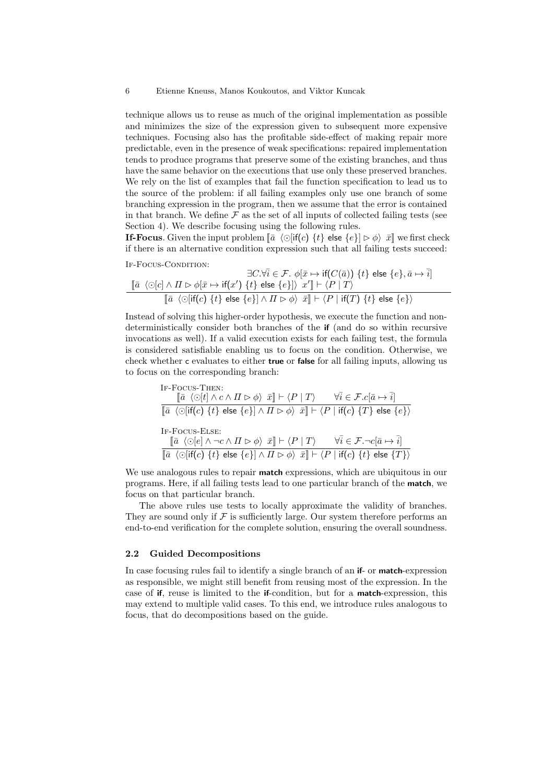technique allows us to reuse as much of the original implementation as possible and minimizes the size of the expression given to subsequent more expensive techniques. Focusing also has the profitable side-effect of making repair more predictable, even in the presence of weak specifications: repaired implementation tends to produce programs that preserve some of the existing branches, and thus have the same behavior on the executions that use only these preserved branches. We rely on the list of examples that fail the function specification to lead us to the source of the problem: if all failing examples only use one branch of some branching expression in the program, then we assume that the error is contained in that branch. We define  $\mathcal F$  as the set of all inputs of collected failing tests (see Section [4\)](#page-9-0). We describe focusing using the following rules.

**If-Focus**. Given the input problem  $\begin{bmatrix} \bar{a} & \text{of } \text{if}(c) & \{t\} \end{bmatrix}$  else  $\{e\} \geq \phi$   $\bar{x}$  we first check if there is an alternative condition expression such that all failing tests succeed:

If-Focus-Condition:

$$
\exists C.\forall \bar{i} \in \mathcal{F}.\ \phi[\bar{x} \mapsto \text{if}(C(\bar{a})) \ \{t\} \ \text{else} \ \{e\}, \bar{a} \mapsto \bar{i}]
$$
\n
$$
\frac{\lbrack\!\lbrack \bar{a} \ \langle \odot[c] \land \Pi \rbrack \triangleright \phi[\bar{x} \mapsto \text{if}(x') \ \{t\} \ \text{else} \ \{e\}]\rbrack \ \gamma'\rbrack \vdash \langle P \mid T \rangle \ \qquad \qquad \qquad \text{[}\bar{a} \ \langle \odot[\text{if}(c) \ \{t\} \ \text{else} \ \{e\}] \land \Pi \rbrack \triangleright \phi \rangle \ \bar{x}\rbrack \rbrack \vdash \langle P \mid \text{if}(T) \ \{t\} \ \text{else} \ \{e\} \rangle \ \qquad \qquad }
$$

Instead of solving this higher-order hypothesis, we execute the function and nondeterministically consider both branches of the if (and do so within recursive invocations as well). If a valid execution exists for each failing test, the formula is considered satisfiable enabling us to focus on the condition. Otherwise, we check whether c evaluates to either true or false for all failing inputs, allowing us to focus on the corresponding branch:

$$
\begin{aligned} &\text{IF-FOCUS-THEN:}\\ &\quad \ \ \left[\bar{a} \ \left\langle\odot\!\!\left[t\right]\wedge c \wedge \varPi \rhd \phi\right\rangle \ \bar{x}\right]\!\!\!\left]+\left\langle P \mid T\right\rangle \quad \ \ \forall \bar{i} \in \mathcal{F} . c[\bar{a} \mapsto \bar{i}]\\ &\quad \ \overline{\left[\bar{a} \ \left\langle\odot\!\!\left[t\right]\!\left(c\right)\left\{t\right\}\right.\right.}\\ &\left.\text{IF-FOCUS-ELSE:}\\ &\quad \ \left[\bar{a} \ \left\langle\odot\!\left[e\right]\wedge \neg c \wedge \varPi \rhd \phi\right\rangle \ \bar{x}\right]\!\!\!\right]+\left\langle P \mid T\right\rangle \quad \ \ \forall \bar{i} \in \mathcal{F} . \neg c[\bar{a} \mapsto \bar{i}]\\ &\quad \ \overline{\left[\bar{a} \ \left\langle\odot\!\left[t\right]\!\left(c\right)\left\{t\right\}\right.\right.\\ &\left.\text{else }\left\{e\right\}\!\!\right]\wedge \varPi \rhd \phi\right\rangle \ \bar{x}\right]\!\!\!\right]+\left\langle P \mid \text{if}\left(c\right)\left\{t\right\}\right.\text{else }\left\{T\right\}\right\rangle\\ &\quad \ \overline{\left[\bar{a} \ \left\langle\odot\!\left[\text{if}\left(c\right)\left\{t\right\}\right.\right.\\ &\left.\text{else }\left\{e\right\}\!\right]\wedge \varPi \rhd \phi\right\rangle \ \bar{x}\right]\!\!\right]+\left\langle P \mid \text{if}\left(c\right)\left\{t\right\}\right.\text{else }\left\{T\right\}\right\rangle} \end{aligned}
$$

We use analogous rules to repair **match** expressions, which are ubiquitous in our programs. Here, if all failing tests lead to one particular branch of the match, we focus on that particular branch.

The above rules use tests to locally approximate the validity of branches. They are sound only if  $\mathcal F$  is sufficiently large. Our system therefore performs an end-to-end verification for the complete solution, ensuring the overall soundness.

### <span id="page-5-0"></span>2.2 Guided Decompositions

In case focusing rules fail to identify a single branch of an if- or **match**-expression as responsible, we might still benefit from reusing most of the expression. In the case of if, reuse is limited to the if-condition, but for a match-expression, this may extend to multiple valid cases. To this end, we introduce rules analogous to focus, that do decompositions based on the guide.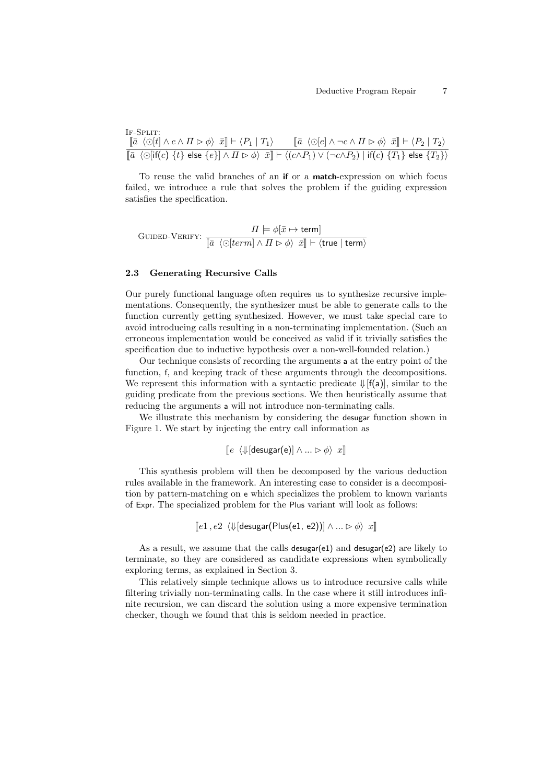| IF-SPLIT:                                                                                                                                                |                                                                                                                                                                                                                                                  |
|----------------------------------------------------------------------------------------------------------------------------------------------------------|--------------------------------------------------------------------------------------------------------------------------------------------------------------------------------------------------------------------------------------------------|
| $\begin{bmatrix} \bar{a} & \langle \odot   t   \wedge c \wedge \Pi \triangleright \phi \rangle & \bar{x} \end{bmatrix} \vdash \langle P_1   T_1 \rangle$ | $[\bar{a} \langle \odot   e] \wedge \neg c \wedge \Pi \triangleright \phi \rangle \ \bar{x} \,    \vdash \langle P_2   T_2 \rangle$                                                                                                              |
|                                                                                                                                                          | $\lceil \bar{a} \cdot \langle 0   \text{if}(c) \{t\} \text{ else } \{e\} \rceil \wedge \Pi \rhd \phi \rangle \n\bar{x} \rceil \vdash \langle (c \wedge P_1) \vee (\neg c \wedge P_2) \rceil \text{ if}(c) \{T_1\} \text{ else } \{T_2\} \rangle$ |

To reuse the valid branches of an if or a match-expression on which focus failed, we introduce a rule that solves the problem if the guiding expression satisfies the specification.

$$
\text{GUIDED-VERIFY: } \frac{\Pi \models \phi[\bar{x} \mapsto \text{term}]}{\[\bar{a} \ \langle \odot[\text{term}] \land \Pi \rhd \phi \rangle \ \bar{x}\] \vdash \langle \text{true} \mid \text{term} \rangle}
$$

#### <span id="page-6-0"></span>2.3 Generating Recursive Calls

Our purely functional language often requires us to synthesize recursive implementations. Consequently, the synthesizer must be able to generate calls to the function currently getting synthesized. However, we must take special care to avoid introducing calls resulting in a non-terminating implementation. (Such an erroneous implementation would be conceived as valid if it trivially satisfies the specification due to inductive hypothesis over a non-well-founded relation.)

Our technique consists of recording the arguments a at the entry point of the function, f, and keeping track of these arguments through the decompositions. We represent this information with a syntactic predicate  $\mathcal{L}[f(a)]$ , similar to the guiding predicate from the previous sections. We then heuristically assume that reducing the arguments a will not introduce non-terminating calls.

We illustrate this mechanism by considering the desugar function shown in Figure [1.](#page-2-0) We start by injecting the entry call information as

$$
[e \ \langle \Downarrow [design(e)] \land ... \rhd \phi \rangle \ x]
$$

This synthesis problem will then be decomposed by the various deduction rules available in the framework. An interesting case to consider is a decomposition by pattern-matching on e which specializes the problem to known variants of Expr. The specialized problem for the Plus variant will look as follows:

 $\llbracket e1, e2 \ \langle \Downarrow \llbracket \text{desugar}(\text{Plus}(e1, e2)) \rrbracket \wedge ... \rhd \phi \rangle \ x \rrbracket$ 

As a result, we assume that the calls desugar(e1) and desugar(e2) are likely to terminate, so they are considered as candidate expressions when symbolically exploring terms, as explained in Section [3.](#page-7-0)

This relatively simple technique allows us to introduce recursive calls while filtering trivially non-terminating calls. In the case where it still introduces infinite recursion, we can discard the solution using a more expensive termination checker, though we found that this is seldom needed in practice.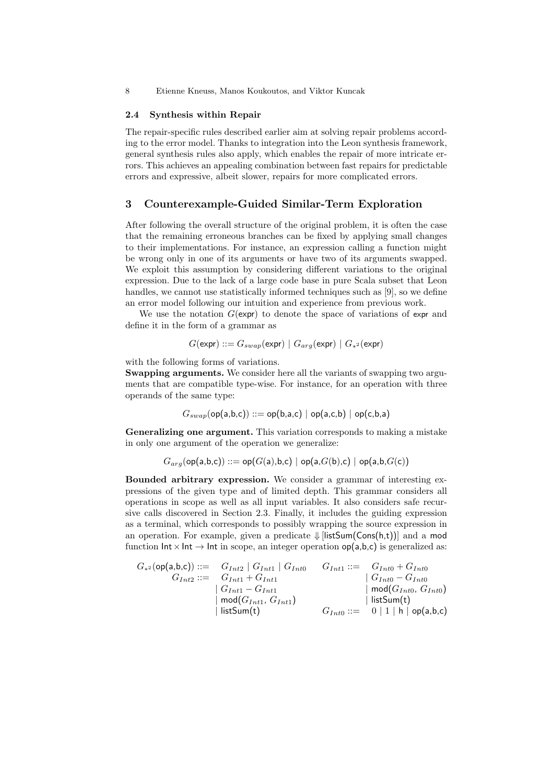#### 2.4 Synthesis within Repair

The repair-specific rules described earlier aim at solving repair problems according to the error model. Thanks to integration into the Leon synthesis framework, general synthesis rules also apply, which enables the repair of more intricate errors. This achieves an appealing combination between fast repairs for predictable errors and expressive, albeit slower, repairs for more complicated errors.

# <span id="page-7-0"></span>3 Counterexample-Guided Similar-Term Exploration

After following the overall structure of the original problem, it is often the case that the remaining erroneous branches can be fixed by applying small changes to their implementations. For instance, an expression calling a function might be wrong only in one of its arguments or have two of its arguments swapped. We exploit this assumption by considering different variations to the original expression. Due to the lack of a large code base in pure Scala subset that Leon handles, we cannot use statistically informed techniques such as [\[9\]](#page-15-10), so we define an error model following our intuition and experience from previous work.

We use the notation  $G(\text{expr})$  to denote the space of variations of expr and define it in the form of a grammar as

$$
G(\exp r) ::= G_{swap}(\exp r) | G_{arg}(\exp r) | G_{*^2}(\exp r)
$$

with the following forms of variations.

Swapping arguments. We consider here all the variants of swapping two arguments that are compatible type-wise. For instance, for an operation with three operands of the same type:

$$
G_{swap}(\mathsf{op(a,b,c)}) ::= \mathsf{op(b,a,c)} \mid \mathsf{op(a,c,b)} \mid \mathsf{op(c,b,a)}
$$

Generalizing one argument. This variation corresponds to making a mistake in only one argument of the operation we generalize:

 $G_{arg}(\mathsf{op}(\mathsf{a},\mathsf{b},\mathsf{c})) ::= \mathsf{op}(G(\mathsf{a}),\mathsf{b},\mathsf{c}) \mid \mathsf{op}(\mathsf{a},G(\mathsf{b}),\mathsf{c}) \mid \mathsf{op}(\mathsf{a},\mathsf{b},G(\mathsf{c}))$ 

Bounded arbitrary expression. We consider a grammar of interesting expressions of the given type and of limited depth. This grammar considers all operations in scope as well as all input variables. It also considers safe recursive calls discovered in Section [2.3.](#page-6-0) Finally, it includes the guiding expression as a terminal, which corresponds to possibly wrapping the source expression in an operation. For example, given a predicate  $\frac{1}{\epsilon}$  [list Sum (Cons(h,t)]] and a mod function  $Int \times Int \rightarrow Int$  in scope, an integer operation  $op(a,b,c)$  is generalized as:

$$
G_{*2}(\text{op}(a,b,c)) ::= G_{Int2} | G_{Int1} | G_{Int1} | G_{Int0} \t G_{Int1} ::= G_{Int0} + G_{Int0} \n| G_{Int1} + G_{Int1} | G_{Int1} \t | G_{Int1} - G_{Int1} | G_{Int1} - G_{Int1} | G_{Int1} - G_{Int1} | G_{Int1} - G_{Int0} | G_{Int1} \t | G_{Int1} \t | G_{Int1} \t | G_{Int1} \t | G_{Int1} \t | G_{Int1} \t | G_{Int1} \t | G_{Int1} \t | G_{Int1} \t | G_{Int1} \t | G_{Int1} \t | G_{Int1} \t | G_{Int1} \t | G_{Int1} \t | G_{Int1} \t | G_{Int1} \t | G_{Int1} \t | G_{Int1} \t | G_{Int1} \t | G_{Int1} \t | G_{Int1} \t | G_{Int1} \t | G_{Int1} \t | G_{Int1} \t | G_{Int1} \t | G_{Int1} \t | G_{Int1} \t | G_{Int1} \t | G_{Int1} \t | G_{Int1} \t | G_{Int1} \t | G_{Int1} \t | G_{Int1} \t | G_{Int1} \t | G_{Int1} \t | G_{Int1} \t | G_{Int1} \t | G_{Int1} \t | G_{Int1} \t | G_{Int1} \t | G_{Int1} \t | G_{Int1} \t | G_{Int1} \t | G_{Int1} \t | G_{Int1} \t | G_{Int1} \t | G_{Int1} \t | G_{Int1} \t | G_{Int1} \t | G_{Int1} \t | G_{Int1} \t | G_{Int1} \t | G_{Int1} \t | G_{Int1} \t | G_{Int1} \t | G_{Int1} \t | G_{Int1} \t | G_{Int1} \t | G_{Int1} \t | G_{Int1} \t | G_{Int1} \t | G_{Int1} \t | G_{Int1} \t | G_{Int1} \t | G_{Int1} \t | G_{Int1} \t | G_{Int1} \t | G_{Int1} \t | G_{Int1} \t | G_{Int1} \t | G_{Int1} \t | G_{Int1} \t | G_{Int1} \t | G_{Int1} \t | G_{Int1} \t | G_{Int1} \t | G_{Int1} \t | G_{Int1} \t | G_{Int1}
$$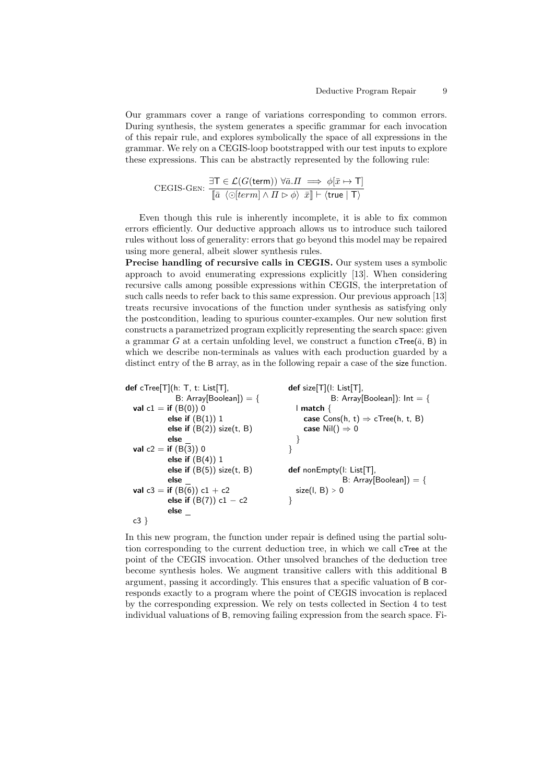Our grammars cover a range of variations corresponding to common errors. During synthesis, the system generates a specific grammar for each invocation of this repair rule, and explores symbolically the space of all expressions in the grammar. We rely on a CEGIS-loop bootstrapped with our test inputs to explore these expressions. This can be abstractly represented by the following rule:

$$
\text{CEGIS-GEN: } \frac{\exists \mathsf{T} \in \mathcal{L}(G(\text{term})) \,\forall \bar{a}. \Pi \implies \phi[\bar{x} \mapsto \mathsf{T}]}{[\![\bar{a} \,\langle \odot[\text{term}] \wedge \Pi \rhd \phi \rangle \,\bar{x}]\!] \vdash \langle \text{true} \mid \mathsf{T} \rangle}
$$

Even though this rule is inherently incomplete, it is able to fix common errors efficiently. Our deductive approach allows us to introduce such tailored rules without loss of generality: errors that go beyond this model may be repaired using more general, albeit slower synthesis rules.

Precise handling of recursive calls in CEGIS. Our system uses a symbolic approach to avoid enumerating expressions explicitly [\[13\]](#page-15-9). When considering recursive calls among possible expressions within CEGIS, the interpretation of such calls needs to refer back to this same expression. Our previous approach [\[13\]](#page-15-9) treats recursive invocations of the function under synthesis as satisfying only the postcondition, leading to spurious counter-examples. Our new solution first constructs a parametrized program explicitly representing the search space: given a grammar G at a certain unfolding level, we construct a function  $cTree(\bar{a}, B)$  in which we describe non-terminals as values with each production guarded by a distinct entry of the B array, as in the following repair a case of the size function.

def cTree[T](h: T, t: List[T], B: Array[Boolean]) = { **val**  $c1 =$  **if**  $(B(0))$  0 else if (B(1)) 1 else if (B(2)) size(t, B) else **val**  $c2 =$  **if**  $(B(3))$  0 else if  $(B(4)) 1$ else if  $(B(5))$  size $(t, B)$ else val c3 = if  $(B(6))$  c1 + c2 else if  $(B(7))$  c1 – c2 else c3 } def size[T](l: List[T], B: Array[Boolean]): Int = { l match { case Cons(h, t)  $\Rightarrow$  cTree(h, t, B) case  $Nil() \Rightarrow 0$ } } def nonEmpty(I: List[T], B: Array[Boolean])  $=$  { size $(l, B) > 0$ }

In this new program, the function under repair is defined using the partial solution corresponding to the current deduction tree, in which we call cTree at the point of the CEGIS invocation. Other unsolved branches of the deduction tree become synthesis holes. We augment transitive callers with this additional B argument, passing it accordingly. This ensures that a specific valuation of B corresponds exactly to a program where the point of CEGIS invocation is replaced by the corresponding expression. We rely on tests collected in Section [4](#page-9-0) to test individual valuations of B, removing failing expression from the search space. Fi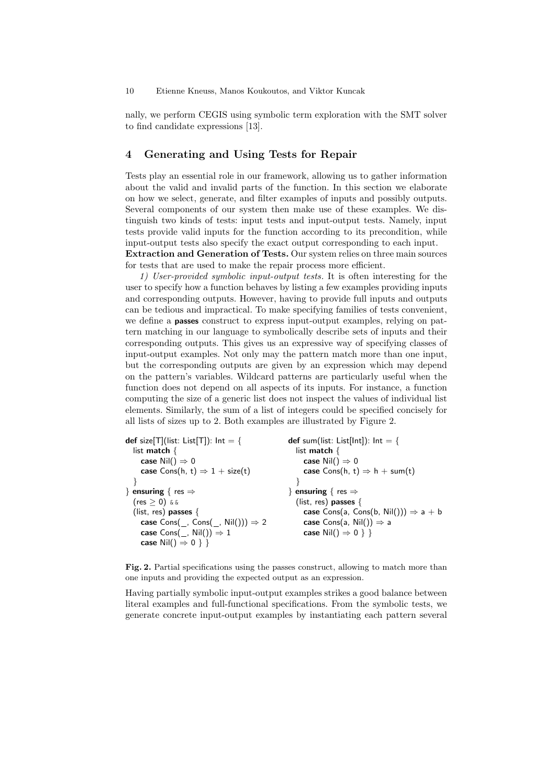nally, we perform CEGIS using symbolic term exploration with the SMT solver to find candidate expressions [\[13\]](#page-15-9).

# <span id="page-9-0"></span>4 Generating and Using Tests for Repair

Tests play an essential role in our framework, allowing us to gather information about the valid and invalid parts of the function. In this section we elaborate on how we select, generate, and filter examples of inputs and possibly outputs. Several components of our system then make use of these examples. We distinguish two kinds of tests: input tests and input-output tests. Namely, input tests provide valid inputs for the function according to its precondition, while input-output tests also specify the exact output corresponding to each input. Extraction and Generation of Tests. Our system relies on three main sources

for tests that are used to make the repair process more efficient. 1) User-provided symbolic input-output tests. It is often interesting for the user to specify how a function behaves by listing a few examples providing inputs and corresponding outputs. However, having to provide full inputs and outputs can be tedious and impractical. To make specifying families of tests convenient, we define a passes construct to express input-output examples, relying on pattern matching in our language to symbolically describe sets of inputs and their corresponding outputs. This gives us an expressive way of specifying classes of input-output examples. Not only may the pattern match more than one input, but the corresponding outputs are given by an expression which may depend on the pattern's variables. Wildcard patterns are particularly useful when the function does not depend on all aspects of its inputs. For instance, a function computing the size of a generic list does not inspect the values of individual list elements. Similarly, the sum of a list of integers could be specified concisely for all lists of sizes up to 2. Both examples are illustrated by Figure [2.](#page-9-1)

```
def size[T](list: List[T]): Int = \{list match {
    case Nil() \Rightarrow 0case Cons(h, t) \Rightarrow 1 + size(t)
  }
} ensuring { res ⇒
  (res > 0) & &
  (list, res) passes {
    case Cons(\_, Cons(\_, Nil()) \Rightarrow 2case Cons(\_, Nil()) \Rightarrow 1case Nil() \Rightarrow 0 } }
                                                       def sum(list: List[Int]): Int = {
                                                         list match {
                                                            case Nil() \Rightarrow 0case Cons(h, t) \Rightarrow h + sum(t)
                                                         }
                                                       } ensuring { res ⇒
                                                         (list, res) passes {
                                                            case Cons(a, Cons(b, Nil())) \Rightarrow a + b
                                                            case Cons(a, Nil()) \Rightarrow a
                                                            case Nil() \Rightarrow 0 } }
```
<span id="page-9-1"></span>Fig. 2. Partial specifications using the passes construct, allowing to match more than one inputs and providing the expected output as an expression.

Having partially symbolic input-output examples strikes a good balance between literal examples and full-functional specifications. From the symbolic tests, we generate concrete input-output examples by instantiating each pattern several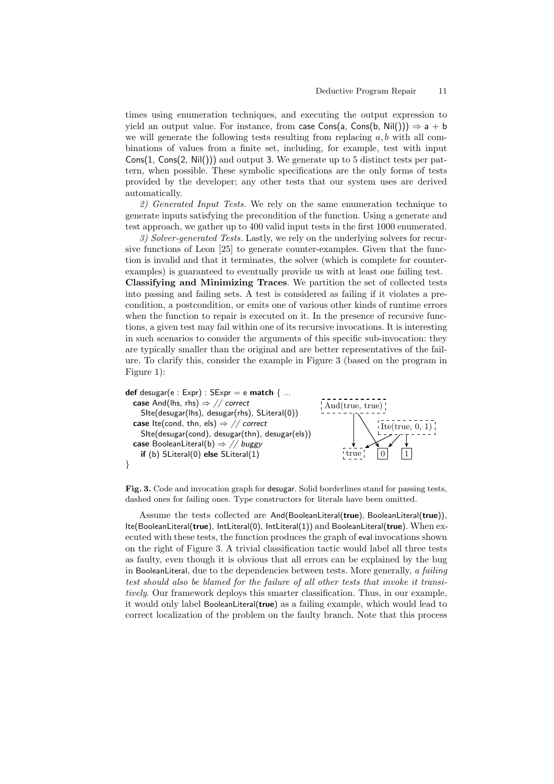times using enumeration techniques, and executing the output expression to yield an output value. For instance, from case Cons(a, Cons(b, Nil()))  $\Rightarrow$  a + b we will generate the following tests resulting from replacing  $a, b$  with all combinations of values from a finite set, including, for example, test with input  $Cons(1, Cons(2, Nil())$  and output 3. We generate up to 5 distinct tests per pattern, when possible. These symbolic specifications are the only forms of tests provided by the developer; any other tests that our system uses are derived automatically.

2) Generated Input Tests. We rely on the same enumeration technique to generate inputs satisfying the precondition of the function. Using a generate and test approach, we gather up to 400 valid input tests in the first 1000 enumerated.

3) Solver-generated Tests. Lastly, we rely on the underlying solvers for recursive functions of Leon [\[25\]](#page-16-7) to generate counter-examples. Given that the function is invalid and that it terminates, the solver (which is complete for counterexamples) is guaranteed to eventually provide us with at least one failing test. Classifying and Minimizing Traces. We partition the set of collected tests into passing and failing sets. A test is considered as failing if it violates a precondition, a postcondition, or emits one of various other kinds of runtime errors when the function to repair is executed on it. In the presence of recursive functions, a given test may fail within one of its recursive invocations. It is interesting in such scenarios to consider the arguments of this specific sub-invocation: they are typically smaller than the original and are better representatives of the failure. To clarify this, consider the example in Figure [3](#page-10-0) (based on the program in Figure [1\)](#page-2-0):

```
def desugar(e : Expr) : SExpr = e match { ...
  case And(lhs, rhs) \Rightarrow // correct
    SIte(desugar(lhs), desugar(rhs), SLiteral(0))
  case Ite(cond, thn, els) \Rightarrow // correct
    SIte(desugar(cond), desugar(thn), desugar(els))
  case BooleanLiteral(b) \Rightarrow // buggy
    if (b) SLiteral(0) else SLiteral(1)
}
                                                               And(true, true)
                                                                      \lceil \text{true} \rceil \quad |0| \quad |1Ite(true, 0, 1)
```
<span id="page-10-0"></span>Fig. 3. Code and invocation graph for desugar. Solid borderlines stand for passing tests, dashed ones for failing ones. Type constructors for literals have been omitted.

Assume the tests collected are And(BooleanLiteral(true), BooleanLiteral(true)), Ite(BooleanLiteral(true), IntLiteral(0), IntLiteral(1)) and BooleanLiteral(true). When executed with these tests, the function produces the graph of eval invocations shown on the right of Figure [3.](#page-10-0) A trivial classification tactic would label all three tests as faulty, even though it is obvious that all errors can be explained by the bug in BooleanLiteral, due to the dependencies between tests. More generally, a failing test should also be blamed for the failure of all other tests that invoke it transitively. Our framework deploys this smarter classification. Thus, in our example, it would only label BooleanLiteral(true) as a failing example, which would lead to correct localization of the problem on the faulty branch. Note that this process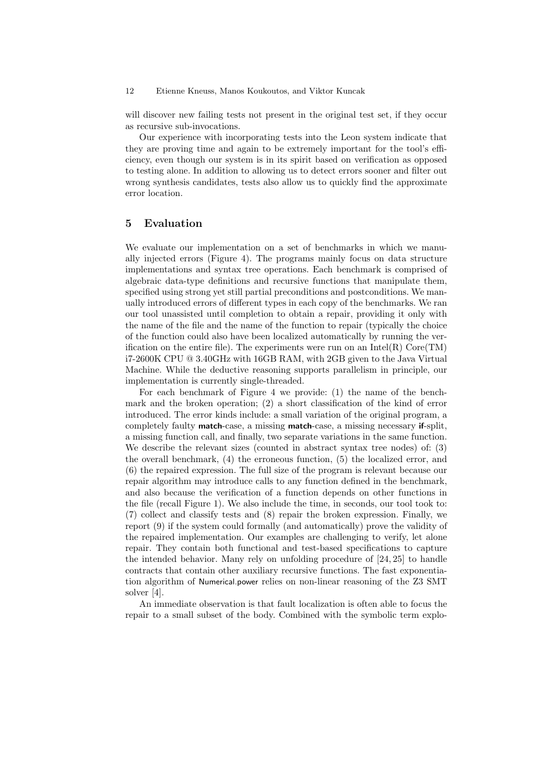will discover new failing tests not present in the original test set, if they occur as recursive sub-invocations.

Our experience with incorporating tests into the Leon system indicate that they are proving time and again to be extremely important for the tool's efficiency, even though our system is in its spirit based on verification as opposed to testing alone. In addition to allowing us to detect errors sooner and filter out wrong synthesis candidates, tests also allow us to quickly find the approximate error location.

### <span id="page-11-0"></span>5 Evaluation

We evaluate our implementation on a set of benchmarks in which we manually injected errors (Figure [4\)](#page-12-0). The programs mainly focus on data structure implementations and syntax tree operations. Each benchmark is comprised of algebraic data-type definitions and recursive functions that manipulate them, specified using strong yet still partial preconditions and postconditions. We manually introduced errors of different types in each copy of the benchmarks. We ran our tool unassisted until completion to obtain a repair, providing it only with the name of the file and the name of the function to repair (typically the choice of the function could also have been localized automatically by running the verification on the entire file). The experiments were run on an Intel(R)  $Core(TM)$ i7-2600K CPU @ 3.40GHz with 16GB RAM, with 2GB given to the Java Virtual Machine. While the deductive reasoning supports parallelism in principle, our implementation is currently single-threaded.

For each benchmark of Figure [4](#page-12-0) we provide: (1) the name of the benchmark and the broken operation; (2) a short classification of the kind of error introduced. The error kinds include: a small variation of the original program, a completely faulty match-case, a missing match-case, a missing necessary if-split, a missing function call, and finally, two separate variations in the same function. We describe the relevant sizes (counted in abstract syntax tree nodes) of: (3) the overall benchmark, (4) the erroneous function, (5) the localized error, and (6) the repaired expression. The full size of the program is relevant because our repair algorithm may introduce calls to any function defined in the benchmark, and also because the verification of a function depends on other functions in the file (recall Figure [1\)](#page-2-0). We also include the time, in seconds, our tool took to: (7) collect and classify tests and (8) repair the broken expression. Finally, we report (9) if the system could formally (and automatically) prove the validity of the repaired implementation. Our examples are challenging to verify, let alone repair. They contain both functional and test-based specifications to capture the intended behavior. Many rely on unfolding procedure of [\[24,](#page-16-8) [25\]](#page-16-7) to handle contracts that contain other auxiliary recursive functions. The fast exponentiation algorithm of Numerical.power relies on non-linear reasoning of the Z3 SMT solver [\[4\]](#page-15-11).

An immediate observation is that fault localization is often able to focus the repair to a small subset of the body. Combined with the symbolic term explo-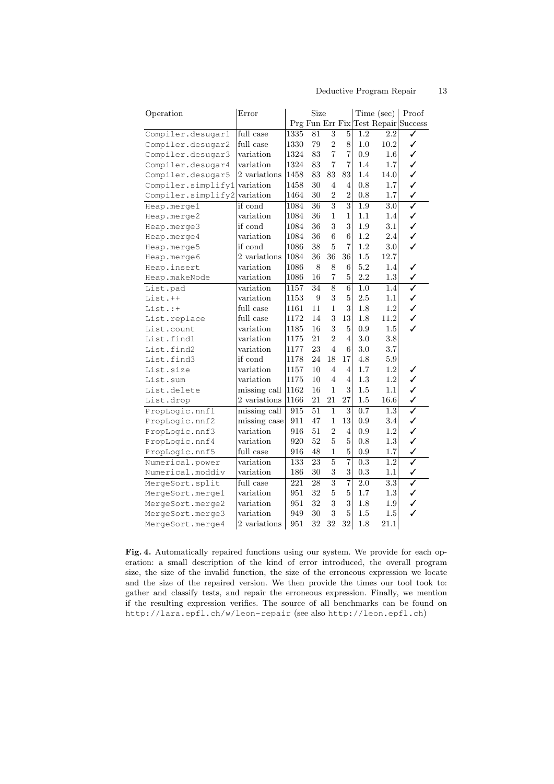| Operation          | Error        | Size |                 |                         | Time (sec) $ $   |                  | Proof            |                                     |
|--------------------|--------------|------|-----------------|-------------------------|------------------|------------------|------------------|-------------------------------------|
|                    |              |      |                 |                         |                  |                  |                  | Prg Fun Err Fix Test Repair Success |
| Compiler.desugar1  | full case    | 1335 | 81              | 3                       | $\overline{5}$   | 1.2              | $2.2\,$          | ✓                                   |
| Compiler.desugar2  | full case    | 1330 | 79              | $\overline{2}$          | 8                | 1.0              | 10.2             | ✓                                   |
| Compiler.desugar3  | variation    | 1324 | 83              | $\overline{7}$          | $\overline{7}$   | $\rm 0.9$        | $1.6\,$          | ✓                                   |
| Compiler.desugar4  | variation    | 1324 | 83              | $\overline{7}$          | 7                | 1.4              | 1.7              | ✓                                   |
| Compiler.desugar5  | 2 variations | 1458 | 83              | 83                      | 83               | 1.4              | 14.0             | ✓                                   |
| Compiler.simplify1 | variation    | 1458 | 30              | $\overline{4}$          | 4                | 0.8              | 1.7              | ✓                                   |
| Compiler.simplify2 | variation    | 1464 | 30              | $\overline{2}$          | $\overline{2}$   | 0.8              | $1.7\,$          | ✓                                   |
| Heap.mergel        | if cond      | 1084 | 36              | $\overline{\mathbf{3}}$ | 3                | 1.9              | $\overline{3.0}$ | $\overline{\checkmark}$             |
| Heap.merge2        | variation    | 1084 | 36              | 1                       | 1                | $1.1\,$          | 1.4              | ✓                                   |
| Heap.merge3        | if cond      | 1084 | 36              | 3                       | 3                | 1.9              | 3.1              | ✓                                   |
| Heap.merge4        | variation    | 1084 | 36              | 6                       | $\boldsymbol{6}$ | $1.2\,$          | $2.4\,$          | ✓                                   |
| Heap.merge5        | if cond      | 1086 | 38              | 5                       | $\overline{7}$   | 1.2              | $3.0\,$          | ✓                                   |
| Heap.merge6        | 2 variations | 1084 | 36              | 36                      | 36               | 1.5              | 12.7             |                                     |
| Heap.insert        | variation    | 1086 | 8               | 8                       | 6                | 5.2              | 1.4              | ✓                                   |
| Heap.makeNode      | variation    | 1086 | 16              | 7                       | $\overline{5}$   | 2.2              | 1.3              | ✓                                   |
| List.pad           | variation    | 1157 | 34              | $\overline{8}$          | $\overline{6}$   | $\overline{1.0}$ | 1.4              | $\overline{\checkmark}$             |
| $List.+$           | variation    | 1153 | 9               | 3                       | $\overline{5}$   | 2.5              | 1.1              | $\checkmark$                        |
| $List.:+$          | full case    | 1161 | 11              | 1                       | 3                | 1.8              | 1.2              | ✓                                   |
| List.replace       | full case    | 1172 | 14              | 3                       | 13               | 1.8              | 11.2             | ✓                                   |
| List.count         | variation    | 1185 | 16              | 3                       | 5                | 0.9              | 1.5              | $\checkmark$                        |
| List.find1         | variation    | 1175 | 21              | $\overline{2}$          | 4                | 3.0              | 3.8              |                                     |
| List.find2         | variation    | 1177 | 23              | $\overline{4}$          | 6                | 3.0              | 3.7              |                                     |
| List.find3         | if cond      | 1178 | 24              | 18                      | 17               | 4.8              | 5.9              |                                     |
| List.size          | variation    | 1157 | 10              | 4                       | 4                | 1.7              | 1.2              | ✓                                   |
| List.sum           | variation    | 1175 | 10              | $\overline{4}$          | 4                | 1.3              | $1.2\,$          | ✓                                   |
| List.delete        | missing call | 1162 | 16              | 1                       | 3                | 1.5              | 1.1              | ✓                                   |
| List.drop          | 2 variations | 1166 | 21              | 21                      | 27               | 1.5              | 16.6             | ✓                                   |
| PropLogic.nnf1     | missing call | 915  | 51              | 1                       | 3                | 0.7              | 1.3              | ✓                                   |
| PropLogic.nnf2     | missing case | 911  | 47              | 1                       | 13               | 0.9              | 3.4              | ✓                                   |
| PropLogic.nnf3     | variation    | 916  | 51              | $\overline{2}$          | 4                | 0.9              | 1.2              | ✓                                   |
| PropLogic.nnf4     | variation    | 920  | 52              | 5                       | $\overline{5}$   | 0.8              | 1.3              | ✓                                   |
| PropLogic.nnf5     | full case    | 916  | 48              | $\mathbf{1}$            | $\overline{5}$   | 0.9              | 1.7              | ✓                                   |
| Numerical.power    | variation    | 133  | $\overline{23}$ | $\overline{5}$          | $\overline{7}$   | 0.3              | 1.2              | $\overline{\checkmark}$             |
| Numerical.moddiv   | variation    | 186  | 30              | 3                       | 3                | 0.3              | $1.1\,$          | ✓                                   |
| MergeSort.split    | full case    | 221  | 28              | $\overline{3}$          | $\overline{7}$   | $\overline{2.0}$ | 3.3              | $\overline{\checkmark}$             |
| MergeSort.merge1   | variation    | 951  | 32              | 5                       | 5                | 1.7              | 1.3              | ✓                                   |
| MergeSort.merge2   | variation    | 951  | 32              | 3                       | 3                | 1.8              | 1.9              | ✓                                   |
| MergeSort.merge3   | variation    | 949  | 30              | 3                       | $\overline{5}$   | $1.5\,$          | $1.5\,$          | ✓                                   |
| MergeSort.merge4   | 2 variations | 951  | 32              | 32                      | 32               | 1.8              | $21.1\,$         |                                     |

<span id="page-12-0"></span>Fig. 4. Automatically repaired functions using our system. We provide for each operation: a small description of the kind of error introduced, the overall program size, the size of the invalid function, the size of the erroneous expression we locate and the size of the repaired version. We then provide the times our tool took to: gather and classify tests, and repair the erroneous expression. Finally, we mention if the resulting expression verifies. The source of all benchmarks can be found on <http://lara.epfl.ch/w/leon-repair> (see also <http://leon.epfl.ch>)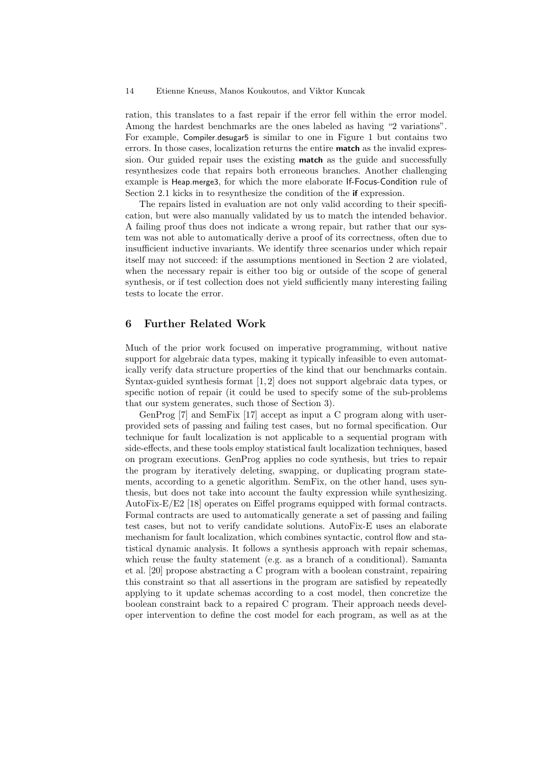ration, this translates to a fast repair if the error fell within the error model. Among the hardest benchmarks are the ones labeled as having "2 variations". For example, Compiler.desugar5 is similar to one in Figure [1](#page-2-0) but contains two errors. In those cases, localization returns the entire match as the invalid expression. Our guided repair uses the existing match as the guide and successfully resynthesizes code that repairs both erroneous branches. Another challenging example is Heap.merge3, for which the more elaborate If-Focus-Condition rule of Section [2.1](#page-4-0) kicks in to resynthesize the condition of the if expression.

The repairs listed in evaluation are not only valid according to their specification, but were also manually validated by us to match the intended behavior. A failing proof thus does not indicate a wrong repair, but rather that our system was not able to automatically derive a proof of its correctness, often due to insufficient inductive invariants. We identify three scenarios under which repair itself may not succeed: if the assumptions mentioned in Section [2](#page-3-0) are violated, when the necessary repair is either too big or outside of the scope of general synthesis, or if test collection does not yield sufficiently many interesting failing tests to locate the error.

# 6 Further Related Work

Much of the prior work focused on imperative programming, without native support for algebraic data types, making it typically infeasible to even automatically verify data structure properties of the kind that our benchmarks contain. Syntax-guided synthesis format [\[1,](#page-15-12) [2\]](#page-15-13) does not support algebraic data types, or specific notion of repair (it could be used to specify some of the sub-problems that our system generates, such those of Section [3\)](#page-7-0).

GenProg [\[7\]](#page-15-6) and SemFix [\[17\]](#page-15-7) accept as input a C program along with userprovided sets of passing and failing test cases, but no formal specification. Our technique for fault localization is not applicable to a sequential program with side-effects, and these tools employ statistical fault localization techniques, based on program executions. GenProg applies no code synthesis, but tries to repair the program by iteratively deleting, swapping, or duplicating program statements, according to a genetic algorithm. SemFix, on the other hand, uses synthesis, but does not take into account the faulty expression while synthesizing. AutoFix-E/E2 [\[18\]](#page-15-8) operates on Eiffel programs equipped with formal contracts. Formal contracts are used to automatically generate a set of passing and failing test cases, but not to verify candidate solutions. AutoFix-E uses an elaborate mechanism for fault localization, which combines syntactic, control flow and statistical dynamic analysis. It follows a synthesis approach with repair schemas, which reuse the faulty statement (e.g. as a branch of a conditional). Samanta et al. [\[20\]](#page-16-1) propose abstracting a C program with a boolean constraint, repairing this constraint so that all assertions in the program are satisfied by repeatedly applying to it update schemas according to a cost model, then concretize the boolean constraint back to a repaired C program. Their approach needs developer intervention to define the cost model for each program, as well as at the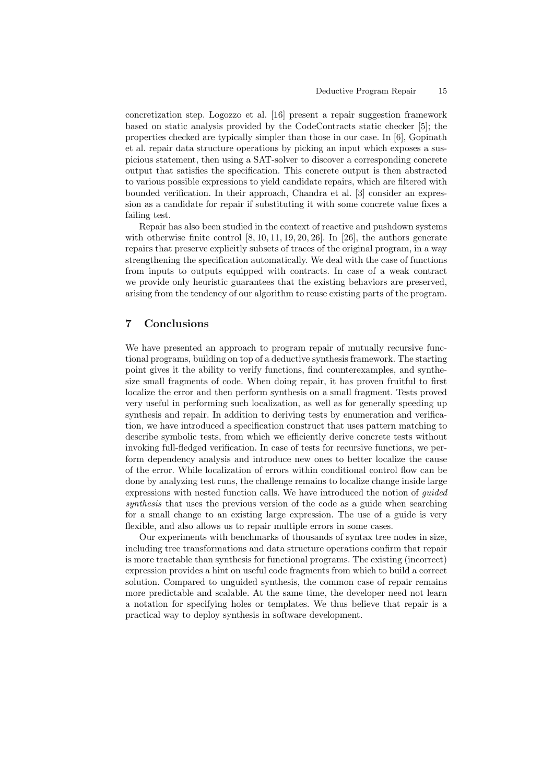concretization step. Logozzo et al. [\[16\]](#page-15-14) present a repair suggestion framework based on static analysis provided by the CodeContracts static checker [\[5\]](#page-15-15); the properties checked are typically simpler than those in our case. In [\[6\]](#page-15-16), Gopinath et al. repair data structure operations by picking an input which exposes a suspicious statement, then using a SAT-solver to discover a corresponding concrete output that satisfies the specification. This concrete output is then abstracted to various possible expressions to yield candidate repairs, which are filtered with bounded verification. In their approach, Chandra et al. [\[3\]](#page-15-17) consider an expression as a candidate for repair if substituting it with some concrete value fixes a failing test.

Repair has also been studied in the context of reactive and pushdown systems with otherwise finite control  $[8, 10, 11, 19, 20, 26]$  $[8, 10, 11, 19, 20, 26]$  $[8, 10, 11, 19, 20, 26]$  $[8, 10, 11, 19, 20, 26]$  $[8, 10, 11, 19, 20, 26]$  $[8, 10, 11, 19, 20, 26]$  $[8, 10, 11, 19, 20, 26]$  $[8, 10, 11, 19, 20, 26]$  $[8, 10, 11, 19, 20, 26]$  $[8, 10, 11, 19, 20, 26]$  $[8, 10, 11, 19, 20, 26]$ . In  $[26]$ , the authors generate repairs that preserve explicitly subsets of traces of the original program, in a way strengthening the specification automatically. We deal with the case of functions from inputs to outputs equipped with contracts. In case of a weak contract we provide only heuristic guarantees that the existing behaviors are preserved, arising from the tendency of our algorithm to reuse existing parts of the program.

# 7 Conclusions

We have presented an approach to program repair of mutually recursive functional programs, building on top of a deductive synthesis framework. The starting point gives it the ability to verify functions, find counterexamples, and synthesize small fragments of code. When doing repair, it has proven fruitful to first localize the error and then perform synthesis on a small fragment. Tests proved very useful in performing such localization, as well as for generally speeding up synthesis and repair. In addition to deriving tests by enumeration and verification, we have introduced a specification construct that uses pattern matching to describe symbolic tests, from which we efficiently derive concrete tests without invoking full-fledged verification. In case of tests for recursive functions, we perform dependency analysis and introduce new ones to better localize the cause of the error. While localization of errors within conditional control flow can be done by analyzing test runs, the challenge remains to localize change inside large expressions with nested function calls. We have introduced the notion of guided synthesis that uses the previous version of the code as a guide when searching for a small change to an existing large expression. The use of a guide is very flexible, and also allows us to repair multiple errors in some cases.

Our experiments with benchmarks of thousands of syntax tree nodes in size, including tree transformations and data structure operations confirm that repair is more tractable than synthesis for functional programs. The existing (incorrect) expression provides a hint on useful code fragments from which to build a correct solution. Compared to unguided synthesis, the common case of repair remains more predictable and scalable. At the same time, the developer need not learn a notation for specifying holes or templates. We thus believe that repair is a practical way to deploy synthesis in software development.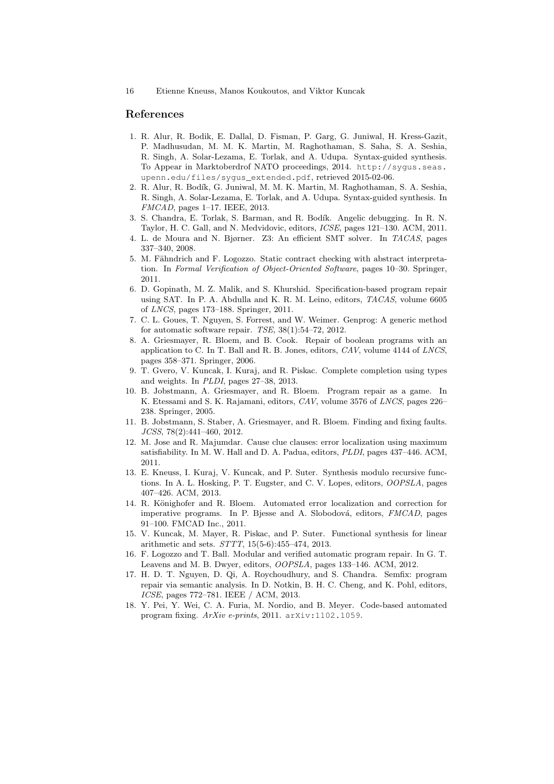### References

- <span id="page-15-12"></span>1. R. Alur, R. Bodik, E. Dallal, D. Fisman, P. Garg, G. Juniwal, H. Kress-Gazit, P. Madhusudan, M. M. K. Martin, M. Raghothaman, S. Saha, S. A. Seshia, R. Singh, A. Solar-Lezama, E. Torlak, and A. Udupa. Syntax-guided synthesis. To Appear in Marktoberdrof NATO proceedings, 2014. [http://sygus.seas.](http://sygus.seas.upenn.edu/files/sygus_extended.pdf) [upenn.edu/files/sygus\\_extended.pdf](http://sygus.seas.upenn.edu/files/sygus_extended.pdf), retrieved 2015-02-06.
- <span id="page-15-13"></span>2. R. Alur, R. Bodík, G. Juniwal, M. M. K. Martin, M. Raghothaman, S. A. Seshia, R. Singh, A. Solar-Lezama, E. Torlak, and A. Udupa. Syntax-guided synthesis. In FMCAD, pages 1–17. IEEE, 2013.
- <span id="page-15-17"></span>3. S. Chandra, E. Torlak, S. Barman, and R. Bodík. Angelic debugging. In R. N. Taylor, H. C. Gall, and N. Medvidovic, editors, ICSE, pages 121–130. ACM, 2011.
- <span id="page-15-11"></span>4. L. de Moura and N. Bjørner. Z3: An efficient SMT solver. In TACAS, pages 337–340, 2008.
- <span id="page-15-15"></span>5. M. Fähndrich and F. Logozzo. Static contract checking with abstract interpretation. In Formal Verification of Object-Oriented Software, pages 10–30. Springer, 2011.
- <span id="page-15-16"></span>6. D. Gopinath, M. Z. Malik, and S. Khurshid. Specification-based program repair using SAT. In P. A. Abdulla and K. R. M. Leino, editors, TACAS, volume 6605 of LNCS, pages 173–188. Springer, 2011.
- <span id="page-15-6"></span>7. C. L. Goues, T. Nguyen, S. Forrest, and W. Weimer. Genprog: A generic method for automatic software repair. TSE, 38(1):54–72, 2012.
- <span id="page-15-0"></span>8. A. Griesmayer, R. Bloem, and B. Cook. Repair of boolean programs with an application to C. In T. Ball and R. B. Jones, editors, CAV, volume 4144 of LNCS, pages 358–371. Springer, 2006.
- <span id="page-15-10"></span>9. T. Gvero, V. Kuncak, I. Kuraj, and R. Piskac. Complete completion using types and weights. In PLDI, pages 27–38, 2013.
- <span id="page-15-1"></span>10. B. Jobstmann, A. Griesmayer, and R. Bloem. Program repair as a game. In K. Etessami and S. K. Rajamani, editors, CAV, volume 3576 of LNCS, pages 226– 238. Springer, 2005.
- <span id="page-15-2"></span>11. B. Jobstmann, S. Staber, A. Griesmayer, and R. Bloem. Finding and fixing faults. JCSS, 78(2):441–460, 2012.
- <span id="page-15-4"></span>12. M. Jose and R. Majumdar. Cause clue clauses: error localization using maximum satisfiability. In M. W. Hall and D. A. Padua, editors, PLDI, pages 437–446. ACM, 2011.
- <span id="page-15-9"></span>13. E. Kneuss, I. Kuraj, V. Kuncak, and P. Suter. Synthesis modulo recursive functions. In A. L. Hosking, P. T. Eugster, and C. V. Lopes, editors, OOPSLA, pages 407–426. ACM, 2013.
- <span id="page-15-5"></span>14. R. Könighofer and R. Bloem. Automated error localization and correction for imperative programs. In P. Bjesse and A. Slobodová, editors, FMCAD, pages 91–100. FMCAD Inc., 2011.
- <span id="page-15-3"></span>15. V. Kuncak, M. Mayer, R. Piskac, and P. Suter. Functional synthesis for linear arithmetic and sets. STTT, 15(5-6):455–474, 2013.
- <span id="page-15-14"></span>16. F. Logozzo and T. Ball. Modular and verified automatic program repair. In G. T. Leavens and M. B. Dwyer, editors, OOPSLA, pages 133–146. ACM, 2012.
- <span id="page-15-7"></span>17. H. D. T. Nguyen, D. Qi, A. Roychoudhury, and S. Chandra. Semfix: program repair via semantic analysis. In D. Notkin, B. H. C. Cheng, and K. Pohl, editors, ICSE, pages 772–781. IEEE / ACM, 2013.
- <span id="page-15-8"></span>18. Y. Pei, Y. Wei, C. A. Furia, M. Nordio, and B. Meyer. Code-based automated program fixing.  $ArXiv$  e-prints, 2011.  $arXiv:1102.1059$ .